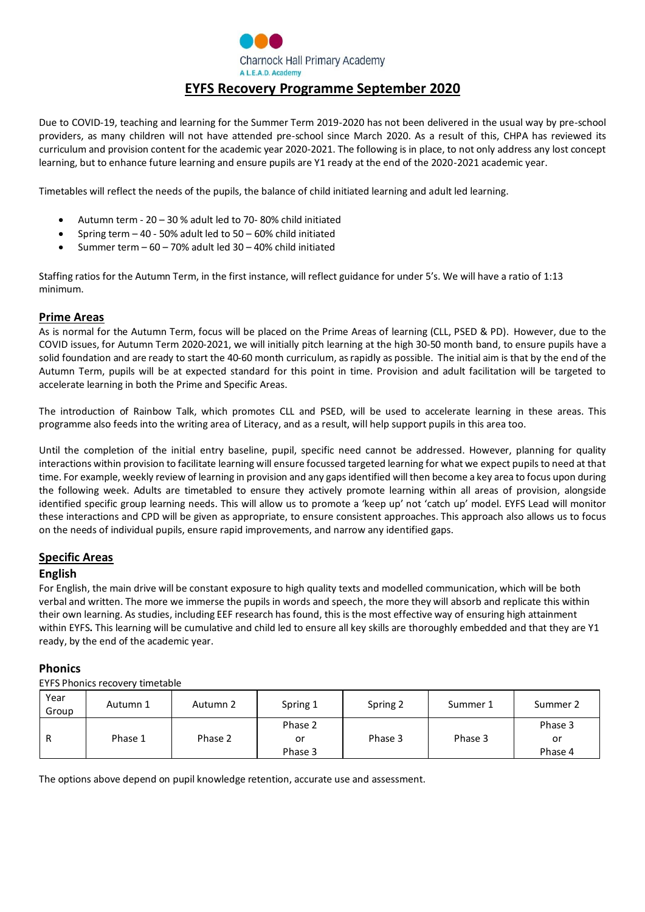

# Due to COVID-19, teaching and learning for the Summer Term 2019-2020 has not been delivered in the usual way by pre-school providers, as many children will not have attended pre-school since March 2020. As a result of this, CHPA has reviewed its curriculum and provision content for the academic year 2020-2021. The following is in place, to not only address any lost concept learning, but to enhance future learning and ensure pupils are Y1 ready at the end of the 2020-2021 academic year.

Timetables will reflect the needs of the pupils, the balance of child initiated learning and adult led learning.

- Autumn term 20 30 % adult led to 70- 80% child initiated
- Spring term  $-40 50\%$  adult led to  $50 60\%$  child initiated
- Summer term  $-60 70$ % adult led  $30 40$ % child initiated

Staffing ratios for the Autumn Term, in the first instance, will reflect guidance for under 5's. We will have a ratio of 1:13 minimum.

#### **Prime Areas**

As is normal for the Autumn Term, focus will be placed on the Prime Areas of learning (CLL, PSED & PD). However, due to the COVID issues, for Autumn Term 2020-2021, we will initially pitch learning at the high 30-50 month band, to ensure pupils have a solid foundation and are ready to start the 40-60 month curriculum, asrapidly as possible. The initial aim is that by the end of the Autumn Term, pupils will be at expected standard for this point in time. Provision and adult facilitation will be targeted to accelerate learning in both the Prime and Specific Areas.

The introduction of Rainbow Talk, which promotes CLL and PSED, will be used to accelerate learning in these areas. This programme also feeds into the writing area of Literacy, and as a result, will help support pupils in this area too.

Until the completion of the initial entry baseline, pupil, specific need cannot be addressed. However, planning for quality interactions within provision to facilitate learning will ensure focussed targeted learning for what we expect pupils to need at that time. For example, weekly review of learning in provision and any gaps identified will then become a key area to focus upon during the following week. Adults are timetabled to ensure they actively promote learning within all areas of provision, alongside identified specific group learning needs. This will allow us to promote a 'keep up' not 'catch up' model. EYFS Lead will monitor these interactions and CPD will be given as appropriate, to ensure consistent approaches. This approach also allows us to focus on the needs of individual pupils, ensure rapid improvements, and narrow any identified gaps.

#### **Specific Areas**

#### **English**

For English, the main drive will be constant exposure to high quality texts and modelled communication, which will be both verbal and written. The more we immerse the pupils in words and speech, the more they will absorb and replicate this within their own learning. As studies, including EEF research has found, this is the most effective way of ensuring high attainment within EYFS**.** This learning will be cumulative and child led to ensure all key skills are thoroughly embedded and that they are Y1 ready, by the end of the academic year.

#### **Phonics**

EYFS Phonics recovery timetable

| Year<br>Group | Autumn 1 | Autumn 2 | Spring 1                 | Spring 2 | Summer 1 | Summer 2                 |
|---------------|----------|----------|--------------------------|----------|----------|--------------------------|
| $\mathbf{r}$  | Phase 1  | Phase 2  | Phase 2<br>or<br>Phase 3 | Phase 3  | Phase 3  | Phase 3<br>or<br>Phase 4 |

The options above depend on pupil knowledge retention, accurate use and assessment.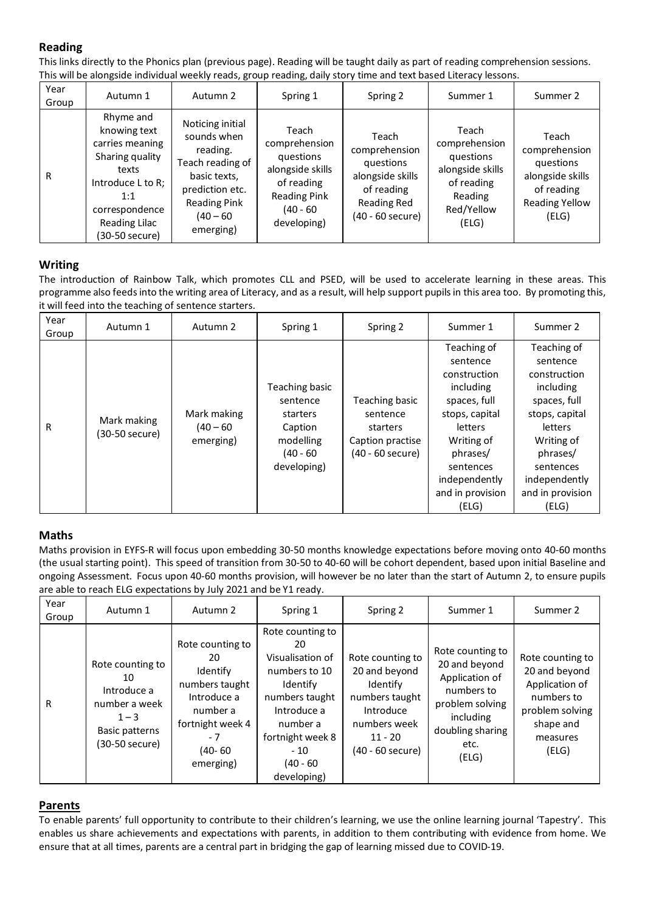# **Reading**

This links directly to the Phonics plan (previous page). Reading will be taught daily as part of reading comprehension sessions. This will be alongside individual weekly reads, group reading, daily story time and text based Literacy lessons.

| Year<br>Group | Autumn 1                                                                                                                                                  | Autumn 2                                                                                                                                              | Spring 1                                                                                                                | Spring 2                                                                                                 | Summer 1                                                                                                | Summer 2                                                                                                |
|---------------|-----------------------------------------------------------------------------------------------------------------------------------------------------------|-------------------------------------------------------------------------------------------------------------------------------------------------------|-------------------------------------------------------------------------------------------------------------------------|----------------------------------------------------------------------------------------------------------|---------------------------------------------------------------------------------------------------------|---------------------------------------------------------------------------------------------------------|
| R             | Rhyme and<br>knowing text<br>carries meaning<br>Sharing quality<br>texts<br>Introduce L to R;<br>1:1<br>correspondence<br>Reading Lilac<br>(30-50 secure) | Noticing initial<br>sounds when<br>reading.<br>Teach reading of<br>basic texts,<br>prediction etc.<br><b>Reading Pink</b><br>$(40 - 60)$<br>emerging) | Teach<br>comprehension<br>questions<br>alongside skills<br>of reading<br><b>Reading Pink</b><br>(40 - 60<br>developing) | Teach<br>comprehension<br>questions<br>alongside skills<br>of reading<br>Reading Red<br>(40 - 60 secure) | Teach<br>comprehension<br>questions<br>alongside skills<br>of reading<br>Reading<br>Red/Yellow<br>(ELG) | Teach<br>comprehension<br>questions<br>alongside skills<br>of reading<br><b>Reading Yellow</b><br>(ELG) |

## **Writing**

The introduction of Rainbow Talk, which promotes CLL and PSED, will be used to accelerate learning in these areas. This programme also feedsinto the writing area of Literacy, and as a result, will help support pupilsin this area too. By promoting this, it will feed into the teaching of sentence starters.

| Year<br>Group | Autumn 1                      | Autumn 2                                | Spring 1                                                                                     | Spring 2                                                                       | Summer 1                                                                                                                                                                               | Summer 2                                                                                                                                                                               |
|---------------|-------------------------------|-----------------------------------------|----------------------------------------------------------------------------------------------|--------------------------------------------------------------------------------|----------------------------------------------------------------------------------------------------------------------------------------------------------------------------------------|----------------------------------------------------------------------------------------------------------------------------------------------------------------------------------------|
| R             | Mark making<br>(30-50 secure) | Mark making<br>$(40 - 60)$<br>emerging) | Teaching basic<br>sentence<br>starters<br>Caption<br>modelling<br>$(40 - 60)$<br>developing) | Teaching basic<br>sentence<br>starters<br>Caption practise<br>(40 - 60 secure) | Teaching of<br>sentence<br>construction<br>including<br>spaces, full<br>stops, capital<br>letters<br>Writing of<br>phrases/<br>sentences<br>independently<br>and in provision<br>(ELG) | Teaching of<br>sentence<br>construction<br>including<br>spaces, full<br>stops, capital<br>letters<br>Writing of<br>phrases/<br>sentences<br>independently<br>and in provision<br>(ELG) |

### **Maths**

Maths provision in EYFS-R will focus upon embedding 30-50 months knowledge expectations before moving onto 40-60 months (the usual starting point). This speed of transition from 30-50 to 40-60 will be cohort dependent, based upon initial Baseline and ongoing Assessment. Focus upon 40-60 months provision, will however be no later than the start of Autumn 2, to ensure pupils are able to reach ELG expectations by July 2021 and be Y1 ready.

| Year<br>Group | Autumn 1                                                                                              | Autumn 2                                                                                                                           | Spring 1                                                                                                                                                                        | Spring 2                                                                                                                      | Summer 1                                                                                                                               | Summer 2                                                                                                               |
|---------------|-------------------------------------------------------------------------------------------------------|------------------------------------------------------------------------------------------------------------------------------------|---------------------------------------------------------------------------------------------------------------------------------------------------------------------------------|-------------------------------------------------------------------------------------------------------------------------------|----------------------------------------------------------------------------------------------------------------------------------------|------------------------------------------------------------------------------------------------------------------------|
| R             | Rote counting to<br>10<br>Introduce a<br>number a week<br>$1 - 3$<br>Basic patterns<br>(30-50 secure) | Rote counting to<br>20<br>Identify<br>numbers taught<br>Introduce a<br>number a<br>fortnight week 4<br>- 7<br>(40- 60<br>emerging) | Rote counting to<br>20<br>Visualisation of<br>numbers to 10<br>Identify<br>numbers taught<br>Introduce a<br>number a<br>fortnight week 8<br>$-10$<br>$(40 - 60)$<br>developing) | Rote counting to<br>20 and beyond<br>Identify<br>numbers taught<br>Introduce<br>numbers week<br>$11 - 20$<br>(40 - 60 secure) | Rote counting to<br>20 and beyond<br>Application of<br>numbers to<br>problem solving<br>including<br>doubling sharing<br>etc.<br>(ELG) | Rote counting to<br>20 and beyond<br>Application of<br>numbers to<br>problem solving<br>shape and<br>measures<br>(ELG) |

### **Parents**

To enable parents' full opportunity to contribute to their children's learning, we use the online learning journal 'Tapestry'. This enables us share achievements and expectations with parents, in addition to them contributing with evidence from home. We ensure that at all times, parents are a central part in bridging the gap of learning missed due to COVID-19.